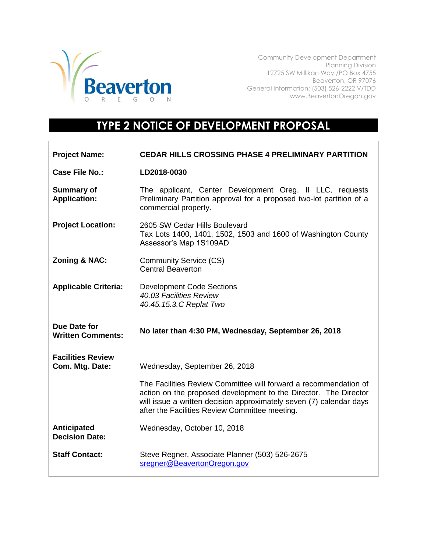

Community Development Department Planning Division 12725 SW Millikan Way /PO Box 4755 Beaverton, OR 97076 General Information: (503) 526-2222 V/TDD www.BeavertonOregon.gov

## **TYPE 2 NOTICE OF DEVELOPMENT PROPOSAL**

| <b>Project Name:</b>                        | CEDAR HILLS CROSSING PHASE 4 PRELIMINARY PARTITION                                                                                                                                                                                                            |
|---------------------------------------------|---------------------------------------------------------------------------------------------------------------------------------------------------------------------------------------------------------------------------------------------------------------|
| <b>Case File No.:</b>                       | LD2018-0030                                                                                                                                                                                                                                                   |
| <b>Summary of</b><br><b>Application:</b>    | The applicant, Center Development Oreg. II LLC, requests<br>Preliminary Partition approval for a proposed two-lot partition of a<br>commercial property.                                                                                                      |
| <b>Project Location:</b>                    | 2605 SW Cedar Hills Boulevard<br>Tax Lots 1400, 1401, 1502, 1503 and 1600 of Washington County<br>Assessor's Map 1S109AD                                                                                                                                      |
| <b>Zoning &amp; NAC:</b>                    | <b>Community Service (CS)</b><br><b>Central Beaverton</b>                                                                                                                                                                                                     |
| <b>Applicable Criteria:</b>                 | <b>Development Code Sections</b><br>40.03 Facilities Review<br>40.45.15.3.C Replat Two                                                                                                                                                                        |
|                                             |                                                                                                                                                                                                                                                               |
| Due Date for<br><b>Written Comments:</b>    | No later than 4:30 PM, Wednesday, September 26, 2018                                                                                                                                                                                                          |
| <b>Facilities Review</b><br>Com. Mtg. Date: | Wednesday, September 26, 2018                                                                                                                                                                                                                                 |
|                                             | The Facilities Review Committee will forward a recommendation of<br>action on the proposed development to the Director. The Director<br>will issue a written decision approximately seven (7) calendar days<br>after the Facilities Review Committee meeting. |
| Anticipated<br><b>Decision Date:</b>        | Wednesday, October 10, 2018                                                                                                                                                                                                                                   |